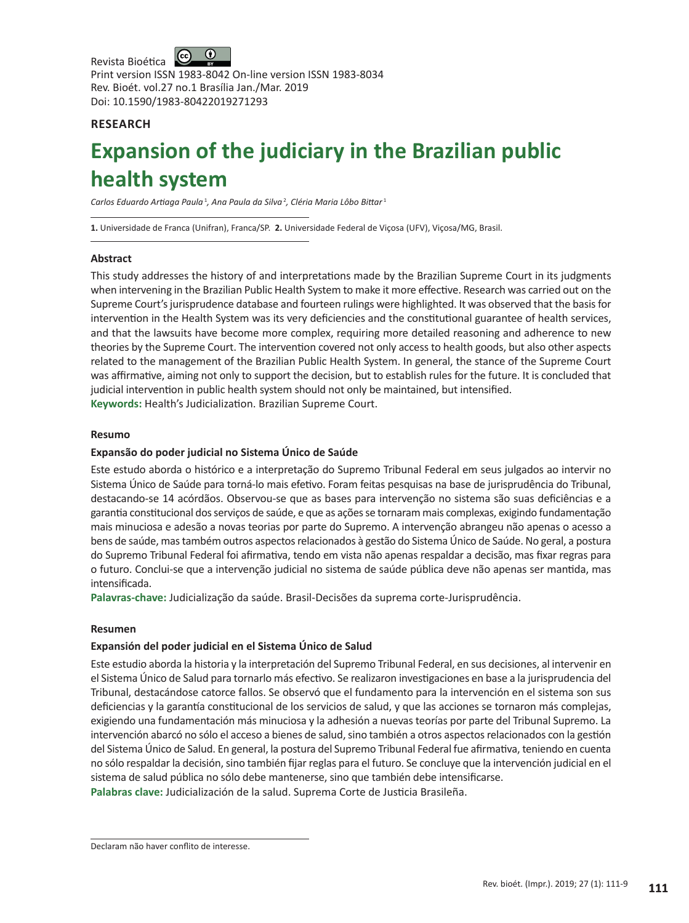$\bigcirc$ Revista Bioética Print version ISSN 1983-8042 On-line version ISSN 1983-8034 Rev. Bioét. vol.27 no.1 Brasília Jan./Mar. 2019 Doi: 10.1590/1983-80422019271293

# **RESEARCH**

# **Expansion of the judiciary in the Brazilian public health system**

Carlos Eduardo Artiaga Paula<sup>1</sup>, Ana Paula da Silva<sup>2</sup>, Cléria Maria Lôbo Bittar<sup>1</sup>

**1.** Universidade de Franca (Unifran), Franca/SP. **2.** Universidade Federal de Viçosa (UFV), Viçosa/MG, Brasil.

## **Abstract**

This study addresses the history of and interpretations made by the Brazilian Supreme Court in its judgments when intervening in the Brazilian Public Health System to make it more effective. Research was carried out on the Supreme Court's jurisprudence database and fourteen rulings were highlighted. It was observed that the basis for intervention in the Health System was its very deficiencies and the constitutional guarantee of health services, and that the lawsuits have become more complex, requiring more detailed reasoning and adherence to new theories by the Supreme Court. The intervention covered not only access to health goods, but also other aspects related to the management of the Brazilian Public Health System. In general, the stance of the Supreme Court was affirmative, aiming not only to support the decision, but to establish rules for the future. It is concluded that judicial intervention in public health system should not only be maintained, but intensified.

**Keywords:** Health's Judicialization. Brazilian Supreme Court.

## **Resumo**

## **Expansão do poder judicial no Sistema Único de Saúde**

Este estudo aborda o histórico e a interpretação do Supremo Tribunal Federal em seus julgados ao intervir no Sistema Único de Saúde para torná-lo mais efetivo. Foram feitas pesquisas na base de jurisprudência do Tribunal, destacando-se 14 acórdãos. Observou-se que as bases para intervenção no sistema são suas deficiências e a garantia constitucional dos serviços de saúde, e que as ações se tornaram mais complexas, exigindo fundamentação mais minuciosa e adesão a novas teorias por parte do Supremo. A intervenção abrangeu não apenas o acesso a bens de saúde, mas também outros aspectos relacionados à gestão do Sistema Único de Saúde. No geral, a postura do Supremo Tribunal Federal foi afirmativa, tendo em vista não apenas respaldar a decisão, mas fixar regras para o futuro. Conclui-se que a intervenção judicial no sistema de saúde pública deve não apenas ser mantida, mas intensificada.

**Palavras-chave:** Judicialização da saúde. Brasil-Decisões da suprema corte-Jurisprudência.

## **Resumen**

## **Expansión del poder judicial en el Sistema Único de Salud**

Este estudio aborda la historia y la interpretación del Supremo Tribunal Federal, en sus decisiones, al intervenir en el Sistema Único de Salud para tornarlo más efectivo. Se realizaron investigaciones en base a la jurisprudencia del Tribunal, destacándose catorce fallos. Se observó que el fundamento para la intervención en el sistema son sus deficiencias y la garantía constitucional de los servicios de salud, y que las acciones se tornaron más complejas, exigiendo una fundamentación más minuciosa y la adhesión a nuevas teorías por parte del Tribunal Supremo. La intervención abarcó no sólo el acceso a bienes de salud, sino también a otros aspectos relacionados con la gestión del Sistema Único de Salud. En general, la postura del Supremo Tribunal Federal fue afirmativa, teniendo en cuenta no sólo respaldar la decisión, sino también fijar reglas para el futuro. Se concluye que la intervención judicial en el sistema de salud pública no sólo debe mantenerse, sino que también debe intensificarse.

**Palabras clave:** Judicialización de la salud. Suprema Corte de Justicia Brasileña.

Declaram não haver conflito de interesse.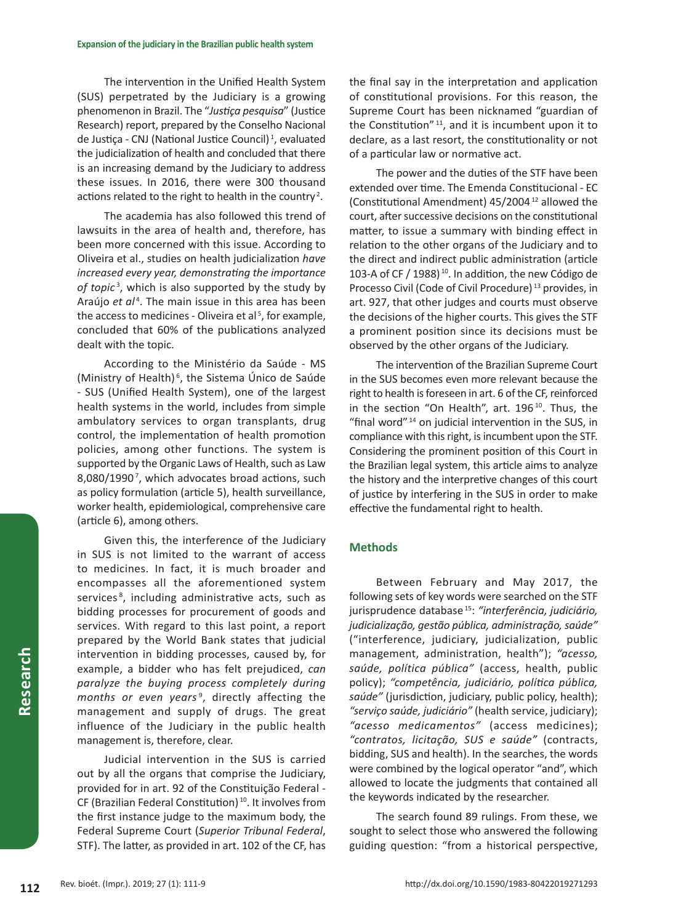The intervention in the Unified Health System (SUS) perpetrated by the Judiciary is a growing phenomenon in Brazil. The "*Justiça pesquisa*" (Justice Research) report, prepared by the Conselho Nacional de Justiça - CNJ (National Justice Council) <sup>1</sup> , evaluated the judicialization of health and concluded that there is an increasing demand by the Judiciary to address these issues. In 2016, there were 300 thousand actions related to the right to health in the country<sup>2</sup>.

The academia has also followed this trend of lawsuits in the area of health and, therefore, has been more concerned with this issue. According to Oliveira et al., studies on health judicialization *have increased every year, demonstrating the importance of topic* <sup>3</sup> , which is also supported by the study by Araújo et al<sup>4</sup>. The main issue in this area has been the access to medicines - Oliveira et al<sup>5</sup>, for example, concluded that 60% of the publications analyzed dealt with the topic.

According to the Ministério da Saúde *-* MS (Ministry of Health)<sup>6</sup>, the Sistema Único de Saúde - SUS (Unified Health System), one of the largest health systems in the world, includes from simple ambulatory services to organ transplants, drug control, the implementation of health promotion policies, among other functions. The system is supported by the Organic Laws of Health, such as Law 8,080/1990<sup>7</sup>, which advocates broad actions, such as policy formulation (article 5), health surveillance, worker health, epidemiological, comprehensive care (article 6), among others.

Given this, the interference of the Judiciary in SUS is not limited to the warrant of access to medicines. In fact, it is much broader and encompasses all the aforementioned system services<sup>8</sup>, including administrative acts, such as bidding processes for procurement of goods and services. With regard to this last point, a report prepared by the World Bank states that judicial intervention in bidding processes, caused by, for example, a bidder who has felt prejudiced, *can paralyze the buying process completely during*  months or even years<sup>9</sup>, directly affecting the management and supply of drugs. The great influence of the Judiciary in the public health management is, therefore, clear.

Judicial intervention in the SUS is carried out by all the organs that comprise the Judiciary, provided for in art. 92 of the Constituição Federal - CF (Brazilian Federal Constitution) <sup>10</sup>. It involves from the first instance judge to the maximum body, the Federal Supreme Court (*Superior Tribunal Federal*, STF). The latter, as provided in art. 102 of the CF, has

the final say in the interpretation and application of constitutional provisions. For this reason, the Supreme Court has been nicknamed "guardian of the Constitution" <sup>11</sup>, and it is incumbent upon it to declare, as a last resort, the constitutionality or not of a particular law or normative act.

The power and the duties of the STF have been extended over time. The Emenda Constitucional *-* EC (Constitutional Amendment) 45/2004 12 allowed the court, after successive decisions on the constitutional matter, to issue a summary with binding effect in relation to the other organs of the Judiciary and to the direct and indirect public administration (article 103-A of CF / 1988) <sup>10</sup>. In addition, the new Código de Processo Civil (Code of Civil Procedure) <sup>13</sup> provides, in art. 927, that other judges and courts must observe the decisions of the higher courts. This gives the STF a prominent position since its decisions must be observed by the other organs of the Judiciary.

The intervention of the Brazilian Supreme Court in the SUS becomes even more relevant because the right to health is foreseen in art. 6 of the CF, reinforced in the section "On Health", art. 196<sup>10</sup>. Thus, the "final word" <sup>14</sup> on judicial intervention in the SUS, in compliance with this right, is incumbent upon the STF. Considering the prominent position of this Court in the Brazilian legal system, this article aims to analyze the history and the interpretive changes of this court of justice by interfering in the SUS in order to make effective the fundamental right to health.

## **Methods**

Between February and May 2017, the following sets of key words were searched on the STF jurisprudence database 15: *"interferência, judiciário, judicialização, gestão pública, administração, saúde"* ("interference, judiciary, judicialization, public management, administration, health"); *"acesso, saúde, política pública"* (access, health, public policy); *"competência, judiciário, política pública, saúde"* (jurisdiction, judiciary, public policy, health); *"serviço saúde, judiciário"* (health service, judiciary); *"acesso medicamentos"* (access medicines); *"contratos, licitação, SUS e saúde"* (contracts, bidding, SUS and health). In the searches, the words were combined by the logical operator "and", which allowed to locate the judgments that contained all the keywords indicated by the researcher.

The search found 89 rulings. From these, we sought to select those who answered the following guiding question: "from a historical perspective,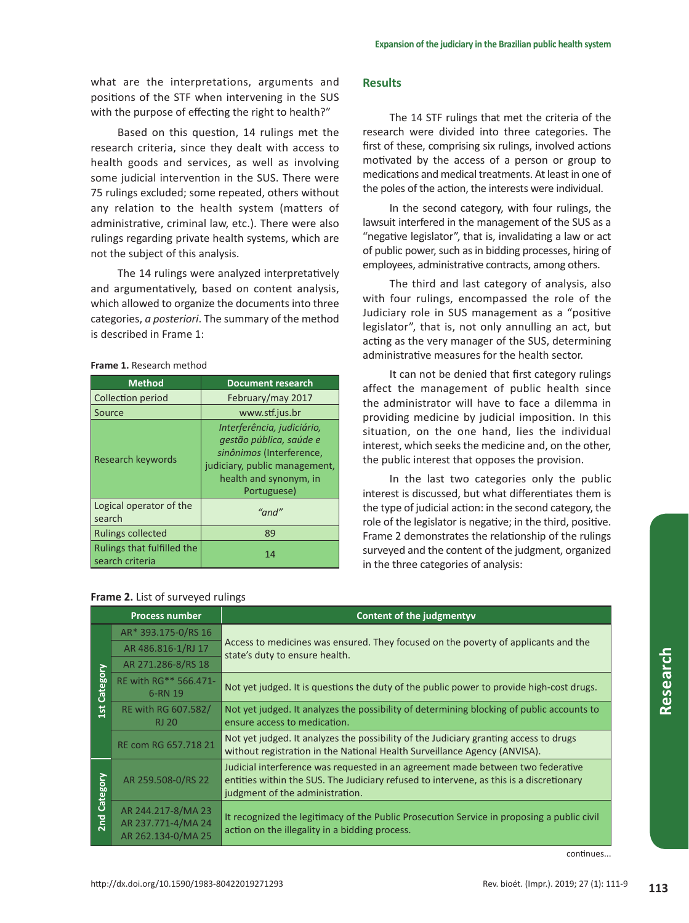what are the interpretations, arguments and positions of the STF when intervening in the SUS with the purpose of effecting the right to health?"

Based on this question, 14 rulings met the research criteria, since they dealt with access to health goods and services, as well as involving some judicial intervention in the SUS. There were 75 rulings excluded; some repeated, others without any relation to the health system (matters of administrative, criminal law, etc.). There were also rulings regarding private health systems, which are not the subject of this analysis.

The 14 rulings were analyzed interpretatively and argumentatively, based on content analysis, which allowed to organize the documents into three categories, *a posteriori*. The summary of the method is described in Frame 1:

### **Frame 1.** Research method

| <b>Method</b>                                 | <b>Document research</b>                                                                                                                                    |
|-----------------------------------------------|-------------------------------------------------------------------------------------------------------------------------------------------------------------|
| Collection period                             | February/may 2017                                                                                                                                           |
| Source                                        | www.stf.jus.br                                                                                                                                              |
| Research keywords                             | Interferência, judiciário,<br>gestão pública, saúde e<br>sinônimos (Interference,<br>judiciary, public management,<br>health and synonym, in<br>Portuguese) |
| Logical operator of the<br>search             | "and"                                                                                                                                                       |
| <b>Rulings collected</b>                      | 89                                                                                                                                                          |
| Rulings that fulfilled the<br>search criteria | 14                                                                                                                                                          |

## **Frame 2.** List of surveyed rulings

## **Results**

The 14 STF rulings that met the criteria of the research were divided into three categories. The first of these, comprising six rulings, involved actions motivated by the access of a person or group to medications and medical treatments. At least in one of the poles of the action, the interests were individual.

In the second category, with four rulings, the lawsuit interfered in the management of the SUS as a "negative legislator", that is, invalidating a law or act of public power, such as in bidding processes, hiring of employees, administrative contracts, among others.

The third and last category of analysis, also with four rulings, encompassed the role of the Judiciary role in SUS management as a "positive legislator", that is, not only annulling an act, but acting as the very manager of the SUS, determining administrative measures for the health sector.

It can not be denied that first category rulings affect the management of public health since the administrator will have to face a dilemma in providing medicine by judicial imposition. In this situation, on the one hand, lies the individual interest, which seeks the medicine and, on the other, the public interest that opposes the provision.

In the last two categories only the public interest is discussed, but what differentiates them is the type of judicial action: in the second category, the role of the legislator is negative; in the third, positive. Frame 2 demonstrates the relationship of the rulings surveyed and the content of the judgment, organized in the three categories of analysis:

|                 | <b>Process number</b>                                          | <b>Content of the judgmentyv</b>                                                                                                                                                                              |
|-----------------|----------------------------------------------------------------|---------------------------------------------------------------------------------------------------------------------------------------------------------------------------------------------------------------|
| Category<br>1st | AR* 393.175-0/RS 16                                            | Access to medicines was ensured. They focused on the poverty of applicants and the<br>state's duty to ensure health.                                                                                          |
|                 | AR 486.816-1/RJ 17                                             |                                                                                                                                                                                                               |
|                 | AR 271.286-8/RS 18                                             |                                                                                                                                                                                                               |
|                 | RE with RG** 566.471-<br>6-RN 19                               | Not yet judged. It is questions the duty of the public power to provide high-cost drugs.                                                                                                                      |
|                 | RE with RG 607.582/<br><b>RJ 20</b>                            | Not yet judged. It analyzes the possibility of determining blocking of public accounts to<br>ensure access to medication.                                                                                     |
|                 | RE com RG 657.718 21                                           | Not yet judged. It analyzes the possibility of the Judiciary granting access to drugs<br>without registration in the National Health Surveillance Agency (ANVISA).                                            |
| Category        | AR 259.508-0/RS 22                                             | Judicial interference was requested in an agreement made between two federative<br>entities within the SUS. The Judiciary refused to intervene, as this is a discretionary<br>judgment of the administration. |
| 2n <sub>d</sub> | AR 244.217-8/MA 23<br>AR 237.771-4/MA 24<br>AR 262.134-0/MA 25 | It recognized the legitimacy of the Public Prosecution Service in proposing a public civil<br>action on the illegality in a bidding process.                                                                  |

continues...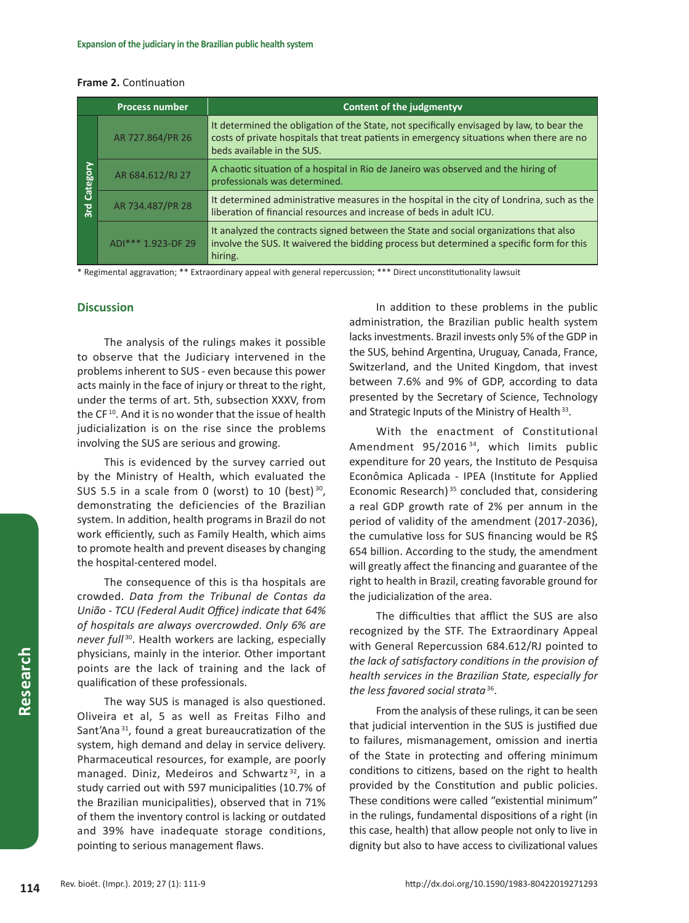|  | <b>Frame 2. Continuation</b> |
|--|------------------------------|
|--|------------------------------|

|                         | <b>Process number</b> | Content of the judgmentyv                                                                                                                                                                                           |
|-------------------------|-----------------------|---------------------------------------------------------------------------------------------------------------------------------------------------------------------------------------------------------------------|
| Category<br>$rac{1}{3}$ | AR 727.864/PR 26      | It determined the obligation of the State, not specifically envisaged by law, to bear the<br>costs of private hospitals that treat patients in emergency situations when there are no<br>beds available in the SUS. |
|                         | AR 684.612/RJ 27      | A chaotic situation of a hospital in Rio de Janeiro was observed and the hiring of<br>professionals was determined.                                                                                                 |
|                         | AR 734.487/PR 28      | It determined administrative measures in the hospital in the city of Londrina, such as the<br>liberation of financial resources and increase of beds in adult ICU.                                                  |
|                         | ADI*** 1.923-DF 29    | It analyzed the contracts signed between the State and social organizations that also<br>involve the SUS. It waivered the bidding process but determined a specific form for this<br>hiring.                        |

\* Regimental aggravation; \*\* Extraordinary appeal with general repercussion; \*\*\* Direct unconstitutionality lawsuit

## **Discussion**

The analysis of the rulings makes it possible to observe that the Judiciary intervened in the problems inherent to SUS - even because this power acts mainly in the face of injury or threat to the right, under the terms of art. 5th, subsection XXXV, from the CF<sup>10</sup>. And it is no wonder that the issue of health judicialization is on the rise since the problems involving the SUS are serious and growing.

This is evidenced by the survey carried out by the Ministry of Health, which evaluated the SUS 5.5 in a scale from 0 (worst) to 10 (best) $30$ , demonstrating the deficiencies of the Brazilian system. In addition, health programs in Brazil do not work efficiently, such as Family Health, which aims to promote health and prevent diseases by changing the hospital-centered model.

The consequence of this is tha hospitals are crowded. *Data from the Tribunal de Contas da União - TCU (Federal Audit Office) indicate that 64% of hospitals are always overcrowded*. *Only 6% are never full* <sup>30</sup>. Health workers are lacking, especially physicians, mainly in the interior. Other important points are the lack of training and the lack of qualification of these professionals.

The way SUS is managed is also questioned. Oliveira et al, 5 as well as Freitas Filho and Sant'Ana<sup>31</sup>, found a great bureaucratization of the system, high demand and delay in service delivery. Pharmaceutical resources, for example, are poorly managed. Diniz, Medeiros and Schwartz <sup>32</sup>, in a study carried out with 597 municipalities (10.7% of the Brazilian municipalities), observed that in 71% of them the inventory control is lacking or outdated and 39% have inadequate storage conditions, pointing to serious management flaws.

In addition to these problems in the public administration, the Brazilian public health system lacks investments. Brazil invests only 5% of the GDP in the SUS, behind Argentina, Uruguay, Canada, France, Switzerland, and the United Kingdom, that invest between 7.6% and 9% of GDP, according to data presented by the Secretary of Science, Technology and Strategic Inputs of the Ministry of Health<sup>33</sup>.

With the enactment of Constitutional Amendment 95/2016<sup>34</sup>, which limits public expenditure for 20 years, the Instituto de Pesquisa Econômica Aplicada - IPEA (Institute for Applied Economic Research)<sup>35</sup> concluded that, considering a real GDP growth rate of 2% per annum in the period of validity of the amendment (2017-2036), the cumulative loss for SUS financing would be R\$ 654 billion. According to the study, the amendment will greatly affect the financing and guarantee of the right to health in Brazil, creating favorable ground for the judicialization of the area.

The difficulties that afflict the SUS are also recognized by the STF. The Extraordinary Appeal with General Repercussion 684.612/RJ pointed to *the lack of satisfactory conditions in the provision of health services in the Brazilian State, especially for the less favored social strata*36.

From the analysis of these rulings, it can be seen that judicial intervention in the SUS is justified due to failures, mismanagement, omission and inertia of the State in protecting and offering minimum conditions to citizens, based on the right to health provided by the Constitution and public policies. These conditions were called "existential minimum" in the rulings, fundamental dispositions of a right (in this case, health) that allow people not only to live in dignity but also to have access to civilizational values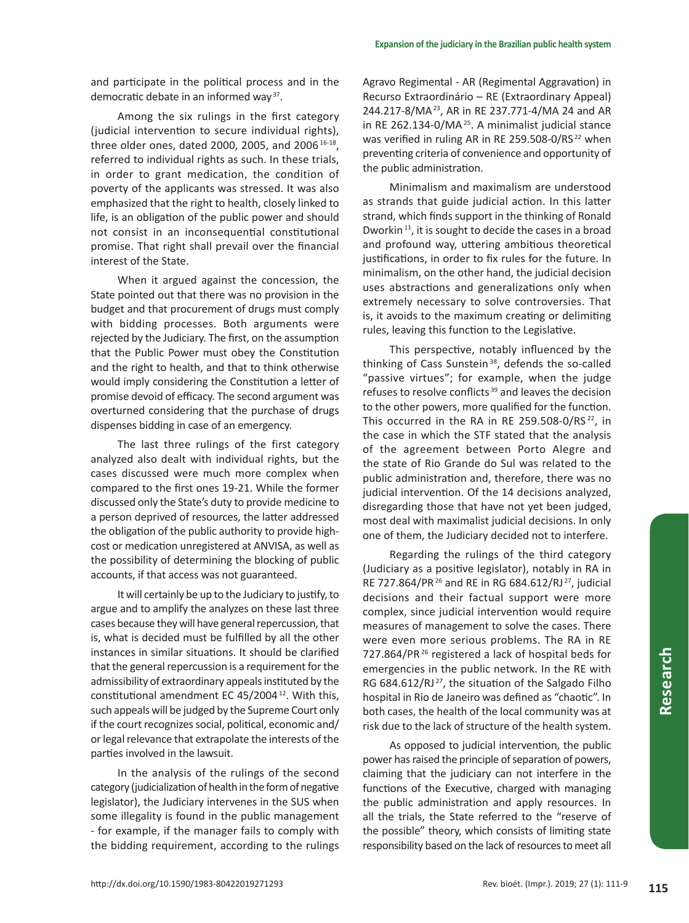and participate in the political process and in the democratic debate in an informed way 37.

Among the six rulings in the first category (judicial intervention to secure individual rights), three older ones, dated 2000, 2005, and 2006<sup>16-18</sup>, referred to individual rights as such. In these trials, in order to grant medication, the condition of poverty of the applicants was stressed. It was also emphasized that the right to health, closely linked to life, is an obligation of the public power and should not consist in an inconsequential constitutional promise. That right shall prevail over the financial interest of the State.

When it argued against the concession, the State pointed out that there was no provision in the budget and that procurement of drugs must comply with bidding processes. Both arguments were rejected by the Judiciary. The first, on the assumption that the Public Power must obey the Constitution and the right to health, and that to think otherwise would imply considering the Constitution a letter of promise devoid of efficacy. The second argument was overturned considering that the purchase of drugs dispenses bidding in case of an emergency.

The last three rulings of the first category analyzed also dealt with individual rights, but the cases discussed were much more complex when compared to the first ones 19-21. While the former discussed only the State's duty to provide medicine to a person deprived of resources, the latter addressed the obligation of the public authority to provide highcost or medication unregistered at ANVISA, as well as the possibility of determining the blocking of public accounts, if that access was not guaranteed.

It will certainly be up to the Judiciary to justify, to argue and to amplify the analyzes on these last three cases because they will have general repercussion, that is, what is decided must be fulfilled by all the other instances in similar situations. It should be clarified that the general repercussion is a requirement for the admissibility of extraordinary appeals instituted by the constitutional amendment EC 45/2004 <sup>12</sup>. With this, such appeals will be judged by the Supreme Court only if the court recognizes social, political, economic and/ or legal relevance that extrapolate the interests of the parties involved in the lawsuit.

In the analysis of the rulings of the second category (judicialization of health in the form of negative legislator), the Judiciary intervenes in the SUS when some illegality is found in the public management - for example, if the manager fails to comply with the bidding requirement, according to the rulings

Agravo Regimental - AR (Regimental Aggravation) in Recurso Extraordinário – RE (Extraordinary Appeal) 244.217-8/MA <sup>23</sup>, AR in RE 237.771-4/MA 24 and AR in RE 262.134-0/MA<sup>25</sup>. A minimalist judicial stance was verified in ruling AR in RE 259.508-0/RS<sup>22</sup> when preventing criteria of convenience and opportunity of the public administration.

Minimalism and maximalism are understood as strands that guide judicial action. In this latter strand, which finds support in the thinking of Ronald Dworkin<sup>11</sup>, it is sought to decide the cases in a broad and profound way, uttering ambitious theoretical justifications, in order to fix rules for the future. In minimalism, on the other hand, the judicial decision uses abstractions and generalizations only when extremely necessary to solve controversies. That is, it avoids to the maximum creating or delimiting rules, leaving this function to the Legislative.

This perspective, notably influenced by the thinking of Cass Sunstein<sup>38</sup>, defends the so-called "passive virtues"; for example, when the judge refuses to resolve conflicts <sup>39</sup> and leaves the decision to the other powers, more qualified for the function. This occurred in the RA in RE 259.508-0/RS<sup>22</sup>, in the case in which the STF stated that the analysis of the agreement between Porto Alegre and the state of Rio Grande do Sul was related to the public administration and, therefore, there was no judicial intervention. Of the 14 decisions analyzed, disregarding those that have not yet been judged, most deal with maximalist judicial decisions. In only one of them, the Judiciary decided not to interfere.

Regarding the rulings of the third category (Judiciary as a positive legislator), notably in RA in RE 727.864/PR <sup>26</sup> and RE in RG 684.612/RJ <sup>27</sup>, judicial decisions and their factual support were more complex, since judicial intervention would require measures of management to solve the cases. There were even more serious problems. The RA in RE 727.864/PR <sup>26</sup> registered a lack of hospital beds for emergencies in the public network. In the RE with RG 684.612/RJ<sup>27</sup>, the situation of the Salgado Filho hospital in Rio de Janeiro was defined as "chaotic". In both cases, the health of the local community was at risk due to the lack of structure of the health system.

As opposed to judicial intervention, the public power has raised the principle of separation of powers, claiming that the judiciary can not interfere in the functions of the Executive, charged with managing the public administration and apply resources. In all the trials, the State referred to the "reserve of the possible" theory, which consists of limiting state responsibility based on the lack of resources to meet all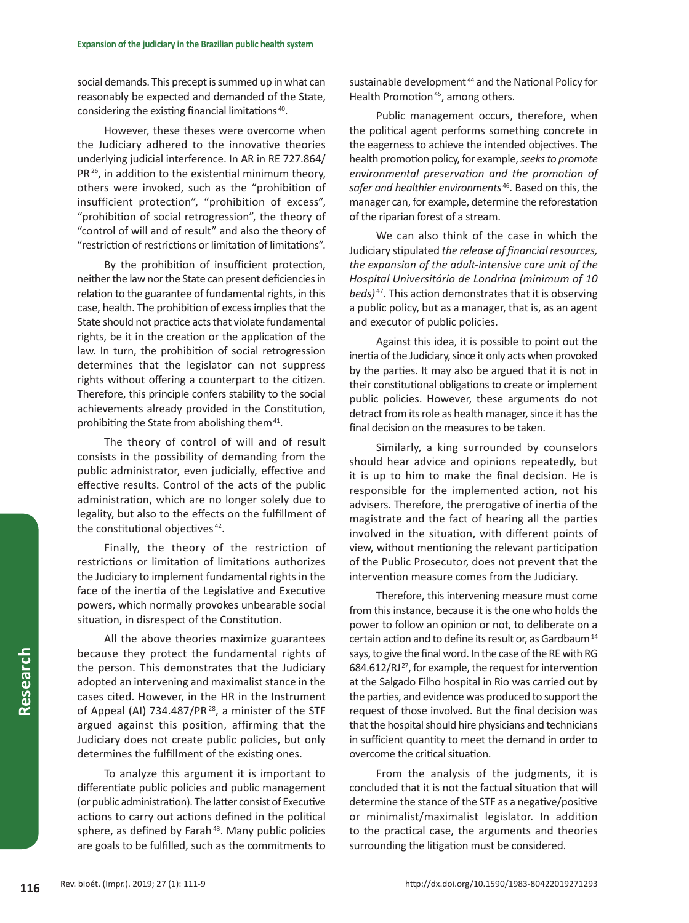social demands. This precept is summed up in what can reasonably be expected and demanded of the State, considering the existing financial limitations 40.

However, these theses were overcome when the Judiciary adhered to the innovative theories underlying judicial interference. In AR in RE 727.864/ PR<sup>26</sup>, in addition to the existential minimum theory, others were invoked, such as the "prohibition of insufficient protection", "prohibition of excess", "prohibition of social retrogression", the theory of "control of will and of result" and also the theory of "restriction of restrictions or limitation of limitations".

By the prohibition of insufficient protection, neither the law nor the State can present deficiencies in relation to the guarantee of fundamental rights, in this case, health. The prohibition of excess implies that the State should not practice acts that violate fundamental rights, be it in the creation or the application of the law. In turn, the prohibition of social retrogression determines that the legislator can not suppress rights without offering a counterpart to the citizen. Therefore, this principle confers stability to the social achievements already provided in the Constitution, prohibiting the State from abolishing them<sup>41</sup>.

The theory of control of will and of result consists in the possibility of demanding from the public administrator, even judicially, effective and effective results. Control of the acts of the public administration, which are no longer solely due to legality, but also to the effects on the fulfillment of the constitutional objectives<sup>42</sup>.

Finally, the theory of the restriction of restrictions or limitation of limitations authorizes the Judiciary to implement fundamental rights in the face of the inertia of the Legislative and Executive powers, which normally provokes unbearable social situation, in disrespect of the Constitution.

All the above theories maximize guarantees because they protect the fundamental rights of the person. This demonstrates that the Judiciary adopted an intervening and maximalist stance in the cases cited. However, in the HR in the Instrument of Appeal (AI) 734.487/PR<sup>28</sup>, a minister of the STF argued against this position, affirming that the Judiciary does not create public policies, but only determines the fulfillment of the existing ones.

To analyze this argument it is important to differentiate public policies and public management (or public administration). The latter consist of Executive actions to carry out actions defined in the political sphere, as defined by Farah<sup>43</sup>. Many public policies are goals to be fulfilled, such as the commitments to

sustainable development<sup>44</sup> and the National Policy for Health Promotion<sup>45</sup>, among others.

Public management occurs, therefore, when the political agent performs something concrete in the eagerness to achieve the intended objectives. The health promotion policy, for example, *seeks to promote environmental preservation and the promotion of safer and healthier environments* <sup>46</sup>. Based on this, the manager can, for example, determine the reforestation of the riparian forest of a stream.

We can also think of the case in which the Judiciary stipulated *the release of financial resources, the expansion of the adult-intensive care unit of the Hospital Universitário de Londrina (minimum of 10 beds)* <sup>47</sup>. This action demonstrates that it is observing a public policy, but as a manager, that is, as an agent and executor of public policies.

Against this idea, it is possible to point out the inertia of the Judiciary, since it only acts when provoked by the parties. It may also be argued that it is not in their constitutional obligations to create or implement public policies. However, these arguments do not detract from its role as health manager, since it has the final decision on the measures to be taken.

Similarly, a king surrounded by counselors should hear advice and opinions repeatedly, but it is up to him to make the final decision. He is responsible for the implemented action, not his advisers. Therefore, the prerogative of inertia of the magistrate and the fact of hearing all the parties involved in the situation, with different points of view, without mentioning the relevant participation of the Public Prosecutor, does not prevent that the intervention measure comes from the Judiciary.

Therefore, this intervening measure must come from this instance, because it is the one who holds the power to follow an opinion or not, to deliberate on a certain action and to define its result or, as Gardbaum <sup>14</sup> says, to give the final word. In the case of the RE with RG 684.612/RJ <sup>27</sup>, for example, the request for intervention at the Salgado Filho hospital in Rio was carried out by the parties, and evidence was produced to support the request of those involved. But the final decision was that the hospital should hire physicians and technicians in sufficient quantity to meet the demand in order to overcome the critical situation.

From the analysis of the judgments, it is concluded that it is not the factual situation that will determine the stance of the STF as a negative/positive or minimalist/maximalist legislator. In addition to the practical case, the arguments and theories surrounding the litigation must be considered.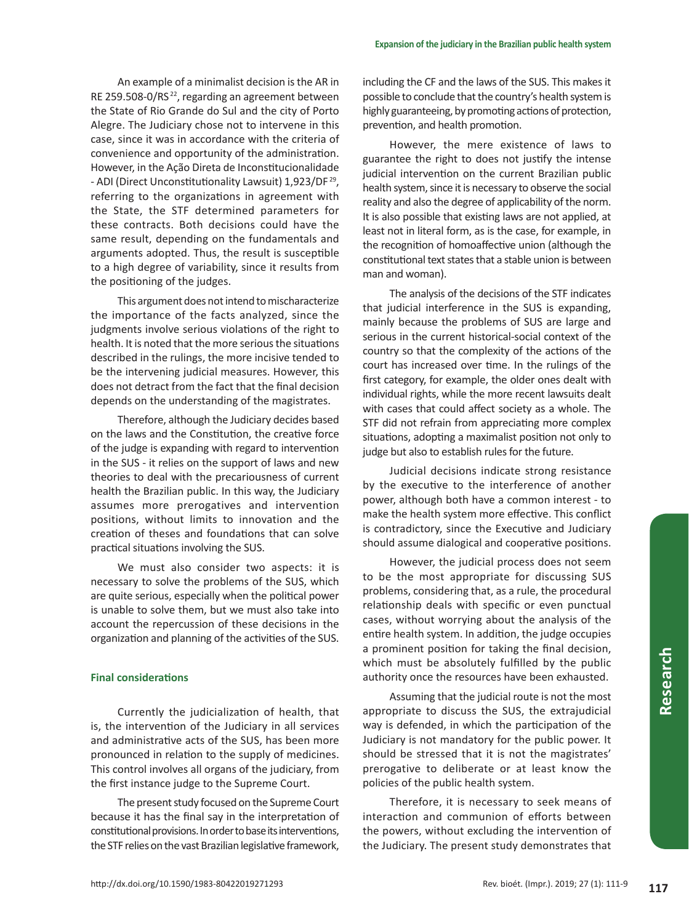An example of a minimalist decision is the AR in RE 259.508-0/RS <sup>22</sup>, regarding an agreement between the State of Rio Grande do Sul and the city of Porto Alegre. The Judiciary chose not to intervene in this case, since it was in accordance with the criteria of convenience and opportunity of the administration. However, in the Ação Direta de Inconstitucionalidade - ADI (Direct Unconstitutionality Lawsuit) 1,923/DF <sup>29</sup>, referring to the organizations in agreement with the State, the STF determined parameters for these contracts. Both decisions could have the same result, depending on the fundamentals and arguments adopted. Thus, the result is susceptible to a high degree of variability, since it results from the positioning of the judges.

This argument does not intend to mischaracterize the importance of the facts analyzed, since the judgments involve serious violations of the right to health. It is noted that the more serious the situations described in the rulings, the more incisive tended to be the intervening judicial measures. However, this does not detract from the fact that the final decision depends on the understanding of the magistrates.

Therefore, although the Judiciary decides based on the laws and the Constitution, the creative force of the judge is expanding with regard to intervention in the SUS - it relies on the support of laws and new theories to deal with the precariousness of current health the Brazilian public. In this way, the Judiciary assumes more prerogatives and intervention positions, without limits to innovation and the creation of theses and foundations that can solve practical situations involving the SUS.

We must also consider two aspects: it is necessary to solve the problems of the SUS, which are quite serious, especially when the political power is unable to solve them, but we must also take into account the repercussion of these decisions in the organization and planning of the activities of the SUS.

## **Final considerations**

Currently the judicialization of health, that is, the intervention of the Judiciary in all services and administrative acts of the SUS, has been more pronounced in relation to the supply of medicines. This control involves all organs of the judiciary, from the first instance judge to the Supreme Court.

The present study focused on the Supreme Court because it has the final say in the interpretation of constitutional provisions. In order to base its interventions, the STF relies on the vast Brazilian legislative framework,

including the CF and the laws of the SUS. This makes it possible to conclude that the country's health system is highly guaranteeing, by promoting actions of protection, prevention, and health promotion.

However, the mere existence of laws to guarantee the right to does not justify the intense judicial intervention on the current Brazilian public health system, since it is necessary to observe the social reality and also the degree of applicability of the norm. It is also possible that existing laws are not applied, at least not in literal form, as is the case, for example, in the recognition of homoaffective union (although the constitutional text states that a stable union is between man and woman).

The analysis of the decisions of the STF indicates that judicial interference in the SUS is expanding, mainly because the problems of SUS are large and serious in the current historical-social context of the country so that the complexity of the actions of the court has increased over time. In the rulings of the first category, for example, the older ones dealt with individual rights, while the more recent lawsuits dealt with cases that could affect society as a whole. The STF did not refrain from appreciating more complex situations, adopting a maximalist position not only to judge but also to establish rules for the future.

Judicial decisions indicate strong resistance by the executive to the interference of another power, although both have a common interest - to make the health system more effective. This conflict is contradictory, since the Executive and Judiciary should assume dialogical and cooperative positions.

However, the judicial process does not seem to be the most appropriate for discussing SUS problems, considering that, as a rule, the procedural relationship deals with specific or even punctual cases, without worrying about the analysis of the entire health system. In addition, the judge occupies a prominent position for taking the final decision, which must be absolutely fulfilled by the public authority once the resources have been exhausted.

Assuming that the judicial route is not the most appropriate to discuss the SUS, the extrajudicial way is defended, in which the participation of the Judiciary is not mandatory for the public power. It should be stressed that it is not the magistrates' prerogative to deliberate or at least know the policies of the public health system.

Therefore, it is necessary to seek means of interaction and communion of efforts between the powers, without excluding the intervention of the Judiciary. The present study demonstrates that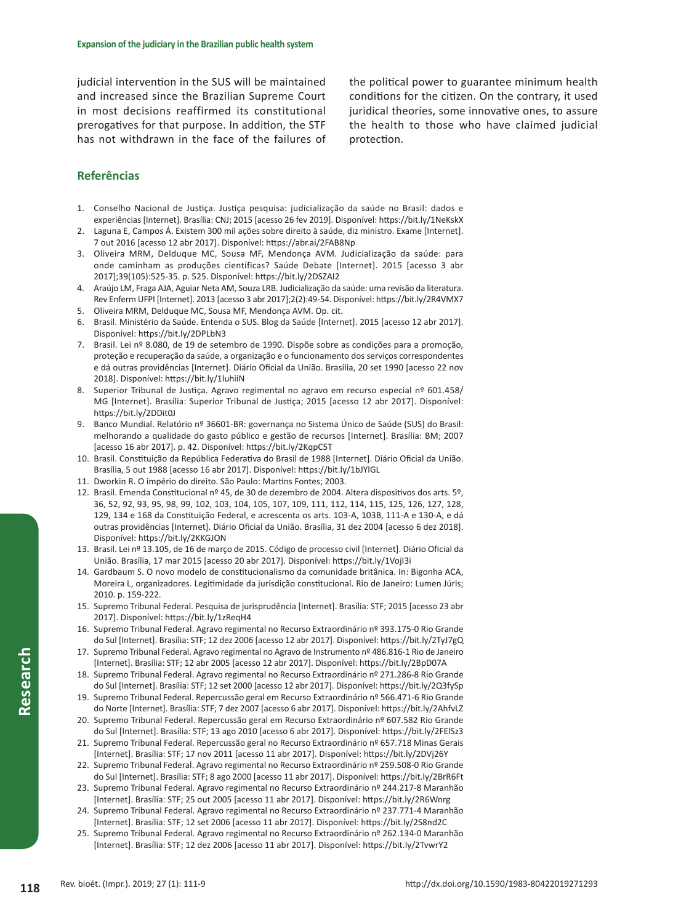judicial intervention in the SUS will be maintained and increased since the Brazilian Supreme Court in most decisions reaffirmed its constitutional prerogatives for that purpose. In addition, the STF has not withdrawn in the face of the failures of the political power to guarantee minimum health conditions for the citizen. On the contrary, it used juridical theories, some innovative ones, to assure the health to those who have claimed judicial protection.

# **Referências**

- 1. Conselho Nacional de Justiça. Justiça pesquisa: judicialização da saúde no Brasil: dados e experiências [Internet]. Brasília: CNJ; 2015 [acesso 26 fev 2019]. Disponível: https://bit.ly/1NeKskX
- 2. Laguna E, Campos Á. Existem 300 mil ações sobre direito à saúde, diz ministro. Exame [Internet]. 7 out 2016 [acesso 12 abr 2017]. Disponível: https://abr.ai/2FAB8Np
- 3. Oliveira MRM, Delduque MC, Sousa MF, Mendonça AVM. Judicialização da saúde: para onde caminham as produções científicas? Saúde Debate [Internet]. 2015 [acesso 3 abr 2017];39(105):525-35. p. 525. Disponível: https://bit.ly/2DSZAI2
- 4. Araújo LM, Fraga AJA, Aguiar Neta AM, Souza LRB. Judicialização da saúde: uma revisão da literatura. Rev Enferm UFPI [Internet]. 2013 [acesso 3 abr 2017];2(2):49-54. Disponível: https://bit.ly/2R4VMX7 5. Oliveira MRM, Delduque MC, Sousa MF, Mendonça AVM. Op. cit.
- 6. Brasil. Ministério da Saúde. Entenda o SUS. Blog da Saúde [Internet]. 2015 [acesso 12 abr 2017]. Disponível: https://bit.ly/2DPLbN3
- 7. Brasil. Lei nº 8.080, de 19 de setembro de 1990. Dispõe sobre as condições para a promoção, proteção e recuperação da saúde, a organização e o funcionamento dos serviços correspondentes e dá outras providências [Internet]. Diário Oficial da União. Brasília, 20 set 1990 [acesso 22 nov 2018]. Disponível: https://bit.ly/1luhiiN
- 8. Superior Tribunal de Justiça. Agravo regimental no agravo em recurso especial nº 601.458/ MG [Internet]. Brasília: Superior Tribunal de Justiça; 2015 [acesso 12 abr 2017]. Disponível: https://bit.ly/2DDit0J
- 9. Banco Mundial. Relatório nº 36601-BR: governança no Sistema Único de Saúde (SUS) do Brasil: melhorando a qualidade do gasto público e gestão de recursos [Internet]. Brasília: BM; 2007 [acesso 16 abr 2017]. p. 42. Disponível: https://bit.ly/2KqpC5T
- 10. Brasil. Constituição da República Federativa do Brasil de 1988 [Internet]. Diário Oficial da União. Brasília, 5 out 1988 [acesso 16 abr 2017]. Disponível: https://bit.ly/1bJYlGL
- 11. Dworkin R. O império do direito. São Paulo: Martins Fontes; 2003.
- 12. Brasil. Emenda Constitucional nº 45, de 30 de dezembro de 2004. Altera dispositivos dos arts. 5º, 36, 52, 92, 93, 95, 98, 99, 102, 103, 104, 105, 107, 109, 111, 112, 114, 115, 125, 126, 127, 128, 129, 134 e 168 da Constituição Federal, e acrescenta os arts. 103-A, 103B, 111-A e 130-A, e dá outras providências [Internet]. Diário Oficial da União. Brasília, 31 dez 2004 [acesso 6 dez 2018]. Disponível: https://bit.ly/2KKGJON
- 13. Brasil. Lei nº 13.105, de 16 de março de 2015. Código de processo civil [Internet]. Diário Oficial da União. Brasília, 17 mar 2015 [acesso 20 abr 2017]. Disponível: https://bit.ly/1VojI3i
- 14. Gardbaum S. O novo modelo de constitucionalismo da comunidade britânica. In: Bigonha ACA, Moreira L, organizadores. Legitimidade da jurisdição constitucional. Rio de Janeiro: Lumen Júris; 2010. p. 159-222.
- 15. Supremo Tribunal Federal. Pesquisa de jurisprudência [Internet]. Brasília: STF; 2015 [acesso 23 abr 2017]. Disponível: https://bit.ly/1zReqH4
- 16. Supremo Tribunal Federal. Agravo regimental no Recurso Extraordinário nº 393.175-0 Rio Grande do Sul [Internet]. Brasília: STF; 12 dez 2006 [acesso 12 abr 2017]. Disponível: https://bit.ly/2TyJ7gQ
- 17. Supremo Tribunal Federal. Agravo regimental no Agravo de Instrumento nº 486.816-1 Rio de Janeiro [Internet]. Brasília: STF; 12 abr 2005 [acesso 12 abr 2017]. Disponível: https://bit.ly/2BpD07A
- 18. Supremo Tribunal Federal. Agravo regimental no Recurso Extraordinário nº 271.286-8 Rio Grande do Sul [Internet]. Brasília: STF; 12 set 2000 [acesso 12 abr 2017]. Disponível: https://bit.ly/2Q3fySp
- 19. Supremo Tribunal Federal. Repercussão geral em Recurso Extraordinário nº 566.471-6 Rio Grande do Norte [Internet]. Brasília: STF; 7 dez 2007 [acesso 6 abr 2017]. Disponível: https://bit.ly/2AhfvLZ
- 20. Supremo Tribunal Federal. Repercussão geral em Recurso Extraordinário nº 607.582 Rio Grande do Sul [Internet]. Brasília: STF; 13 ago 2010 [acesso 6 abr 2017]. Disponível: https://bit.ly/2FElSz3
- 21. Supremo Tribunal Federal. Repercussão geral no Recurso Extraordinário nº 657.718 Minas Gerais [Internet]. Brasília: STF; 17 nov 2011 [acesso 11 abr 2017]. Disponível: https://bit.ly/2DVj26Y
- 22. Supremo Tribunal Federal. Agravo regimental no Recurso Extraordinário nº 259.508-0 Rio Grande do Sul [Internet]. Brasília: STF; 8 ago 2000 [acesso 11 abr 2017]. Disponível: https://bit.ly/2BrR6Ft
- 23. Supremo Tribunal Federal. Agravo regimental no Recurso Extraordinário nº 244.217-8 Maranhão [Internet]. Brasília: STF; 25 out 2005 [acesso 11 abr 2017]. Disponível: https://bit.ly/2R6Wnrg
- 24. Supremo Tribunal Federal. Agravo regimental no Recurso Extraordinário nº 237.771-4 Maranhão [Internet]. Brasília: STF; 12 set 2006 [acesso 11 abr 2017]. Disponível: https://bit.ly/2S8nd2C
- 25. Supremo Tribunal Federal. Agravo regimental no Recurso Extraordinário nº 262.134-0 Maranhão [Internet]. Brasília: STF; 12 dez 2006 [acesso 11 abr 2017]. Disponível: https://bit.ly/2TvwrY2